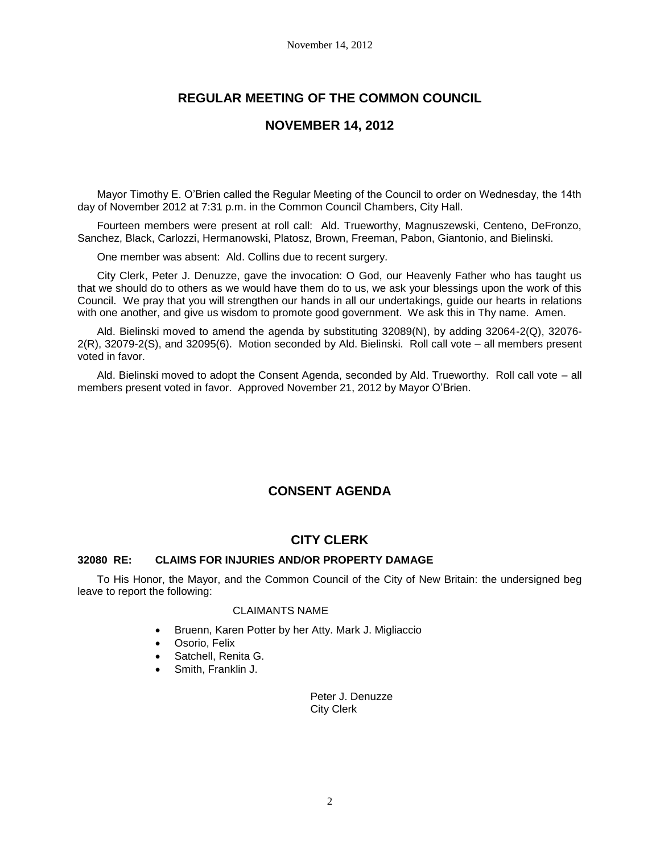# **REGULAR MEETING OF THE COMMON COUNCIL**

## **NOVEMBER 14, 2012**

Mayor Timothy E. O'Brien called the Regular Meeting of the Council to order on Wednesday, the 14th day of November 2012 at 7:31 p.m. in the Common Council Chambers, City Hall.

Fourteen members were present at roll call: Ald. Trueworthy, Magnuszewski, Centeno, DeFronzo, Sanchez, Black, Carlozzi, Hermanowski, Platosz, Brown, Freeman, Pabon, Giantonio, and Bielinski.

One member was absent: Ald. Collins due to recent surgery.

City Clerk, Peter J. Denuzze, gave the invocation: O God, our Heavenly Father who has taught us that we should do to others as we would have them do to us, we ask your blessings upon the work of this Council. We pray that you will strengthen our hands in all our undertakings, guide our hearts in relations with one another, and give us wisdom to promote good government. We ask this in Thy name. Amen.

Ald. Bielinski moved to amend the agenda by substituting 32089(N), by adding 32064-2(Q), 32076- 2(R), 32079-2(S), and 32095(6). Motion seconded by Ald. Bielinski. Roll call vote – all members present voted in favor.

Ald. Bielinski moved to adopt the Consent Agenda, seconded by Ald. Trueworthy. Roll call vote – all members present voted in favor. Approved November 21, 2012 by Mayor O'Brien.

## **CONSENT AGENDA**

## **CITY CLERK**

## **32080 RE: CLAIMS FOR INJURIES AND/OR PROPERTY DAMAGE**

To His Honor, the Mayor, and the Common Council of the City of New Britain: the undersigned beg leave to report the following:

### CLAIMANTS NAME

- Bruenn, Karen Potter by her Atty. Mark J. Migliaccio
- Osorio, Felix
- Satchell, Renita G.
- Smith, Franklin J.

Peter J. Denuzze City Clerk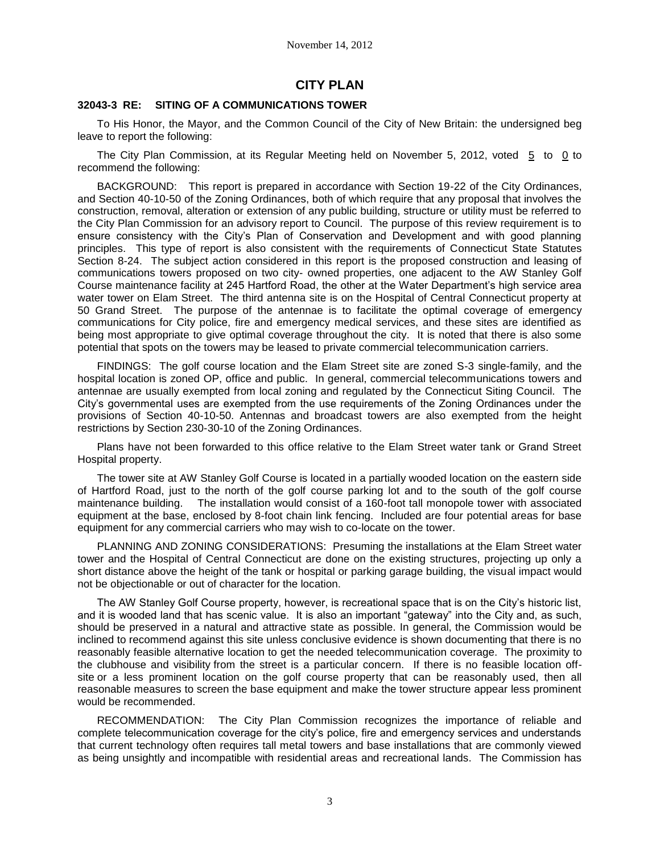# **CITY PLAN**

#### **32043-3 RE: SITING OF A COMMUNICATIONS TOWER**

To His Honor, the Mayor, and the Common Council of the City of New Britain: the undersigned beg leave to report the following:

The City Plan Commission, at its Regular Meeting held on November 5, 2012, voted 5 to 0 to recommend the following:

BACKGROUND: This report is prepared in accordance with Section 19-22 of the City Ordinances, and Section 40-10-50 of the Zoning Ordinances, both of which require that any proposal that involves the construction, removal, alteration or extension of any public building, structure or utility must be referred to the City Plan Commission for an advisory report to Council. The purpose of this review requirement is to ensure consistency with the City's Plan of Conservation and Development and with good planning principles. This type of report is also consistent with the requirements of Connecticut State Statutes Section 8-24. The subject action considered in this report is the proposed construction and leasing of communications towers proposed on two city- owned properties, one adjacent to the AW Stanley Golf Course maintenance facility at 245 Hartford Road, the other at the Water Department's high service area water tower on Elam Street. The third antenna site is on the Hospital of Central Connecticut property at 50 Grand Street. The purpose of the antennae is to facilitate the optimal coverage of emergency communications for City police, fire and emergency medical services, and these sites are identified as being most appropriate to give optimal coverage throughout the city. It is noted that there is also some potential that spots on the towers may be leased to private commercial telecommunication carriers.

FINDINGS: The golf course location and the Elam Street site are zoned S-3 single-family, and the hospital location is zoned OP, office and public. In general, commercial telecommunications towers and antennae are usually exempted from local zoning and regulated by the Connecticut Siting Council. The City's governmental uses are exempted from the use requirements of the Zoning Ordinances under the provisions of Section 40-10-50. Antennas and broadcast towers are also exempted from the height restrictions by Section 230-30-10 of the Zoning Ordinances.

Plans have not been forwarded to this office relative to the Elam Street water tank or Grand Street Hospital property.

The tower site at AW Stanley Golf Course is located in a partially wooded location on the eastern side of Hartford Road, just to the north of the golf course parking lot and to the south of the golf course maintenance building. The installation would consist of a 160-foot tall monopole tower with associated equipment at the base, enclosed by 8-foot chain link fencing. Included are four potential areas for base equipment for any commercial carriers who may wish to co-locate on the tower.

PLANNING AND ZONING CONSIDERATIONS: Presuming the installations at the Elam Street water tower and the Hospital of Central Connecticut are done on the existing structures, projecting up only a short distance above the height of the tank or hospital or parking garage building, the visual impact would not be objectionable or out of character for the location.

The AW Stanley Golf Course property, however, is recreational space that is on the City's historic list, and it is wooded land that has scenic value. It is also an important "gateway" into the City and, as such, should be preserved in a natural and attractive state as possible. In general, the Commission would be inclined to recommend against this site unless conclusive evidence is shown documenting that there is no reasonably feasible alternative location to get the needed telecommunication coverage. The proximity to the clubhouse and visibility from the street is a particular concern. If there is no feasible location offsite or a less prominent location on the golf course property that can be reasonably used, then all reasonable measures to screen the base equipment and make the tower structure appear less prominent would be recommended.

RECOMMENDATION: The City Plan Commission recognizes the importance of reliable and complete telecommunication coverage for the city's police, fire and emergency services and understands that current technology often requires tall metal towers and base installations that are commonly viewed as being unsightly and incompatible with residential areas and recreational lands. The Commission has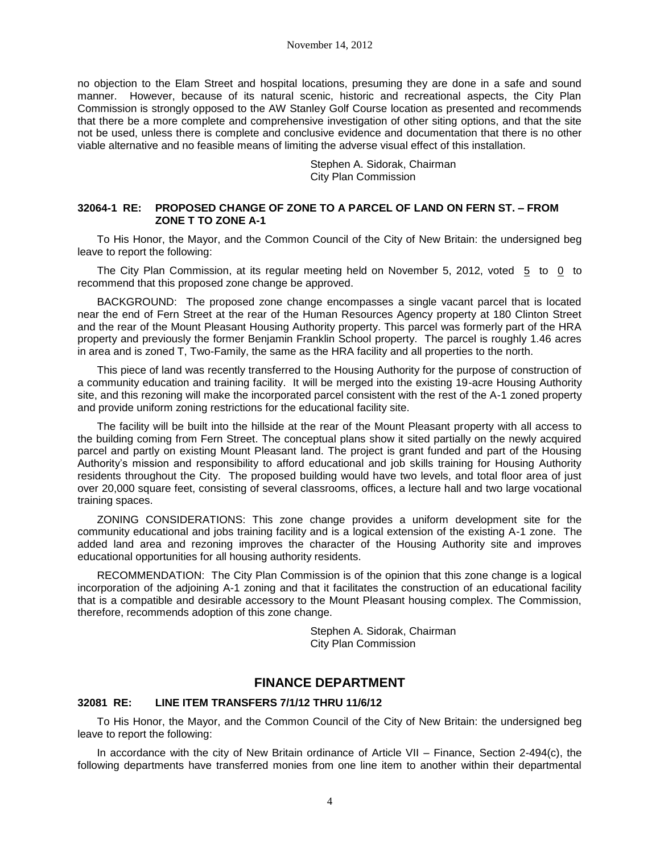no objection to the Elam Street and hospital locations, presuming they are done in a safe and sound manner. However, because of its natural scenic, historic and recreational aspects, the City Plan Commission is strongly opposed to the AW Stanley Golf Course location as presented and recommends that there be a more complete and comprehensive investigation of other siting options, and that the site not be used, unless there is complete and conclusive evidence and documentation that there is no other viable alternative and no feasible means of limiting the adverse visual effect of this installation.

> Stephen A. Sidorak, Chairman City Plan Commission

## **32064-1 RE: PROPOSED CHANGE OF ZONE TO A PARCEL OF LAND ON FERN ST. – FROM ZONE T TO ZONE A-1**

To His Honor, the Mayor, and the Common Council of the City of New Britain: the undersigned beg leave to report the following:

The City Plan Commission, at its regular meeting held on November 5, 2012, voted 5 to 0 to recommend that this proposed zone change be approved.

BACKGROUND: The proposed zone change encompasses a single vacant parcel that is located near the end of Fern Street at the rear of the Human Resources Agency property at 180 Clinton Street and the rear of the Mount Pleasant Housing Authority property. This parcel was formerly part of the HRA property and previously the former Benjamin Franklin School property. The parcel is roughly 1.46 acres in area and is zoned T, Two-Family, the same as the HRA facility and all properties to the north.

This piece of land was recently transferred to the Housing Authority for the purpose of construction of a community education and training facility. It will be merged into the existing 19-acre Housing Authority site, and this rezoning will make the incorporated parcel consistent with the rest of the A-1 zoned property and provide uniform zoning restrictions for the educational facility site.

The facility will be built into the hillside at the rear of the Mount Pleasant property with all access to the building coming from Fern Street. The conceptual plans show it sited partially on the newly acquired parcel and partly on existing Mount Pleasant land. The project is grant funded and part of the Housing Authority's mission and responsibility to afford educational and job skills training for Housing Authority residents throughout the City. The proposed building would have two levels, and total floor area of just over 20,000 square feet, consisting of several classrooms, offices, a lecture hall and two large vocational training spaces.

ZONING CONSIDERATIONS: This zone change provides a uniform development site for the community educational and jobs training facility and is a logical extension of the existing A-1 zone. The added land area and rezoning improves the character of the Housing Authority site and improves educational opportunities for all housing authority residents.

RECOMMENDATION: The City Plan Commission is of the opinion that this zone change is a logical incorporation of the adjoining A-1 zoning and that it facilitates the construction of an educational facility that is a compatible and desirable accessory to the Mount Pleasant housing complex. The Commission, therefore, recommends adoption of this zone change.

> Stephen A. Sidorak, Chairman City Plan Commission

## **FINANCE DEPARTMENT**

## **32081 RE: LINE ITEM TRANSFERS 7/1/12 THRU 11/6/12**

To His Honor, the Mayor, and the Common Council of the City of New Britain: the undersigned beg leave to report the following:

In accordance with the city of New Britain ordinance of Article VII – Finance, Section 2-494(c), the following departments have transferred monies from one line item to another within their departmental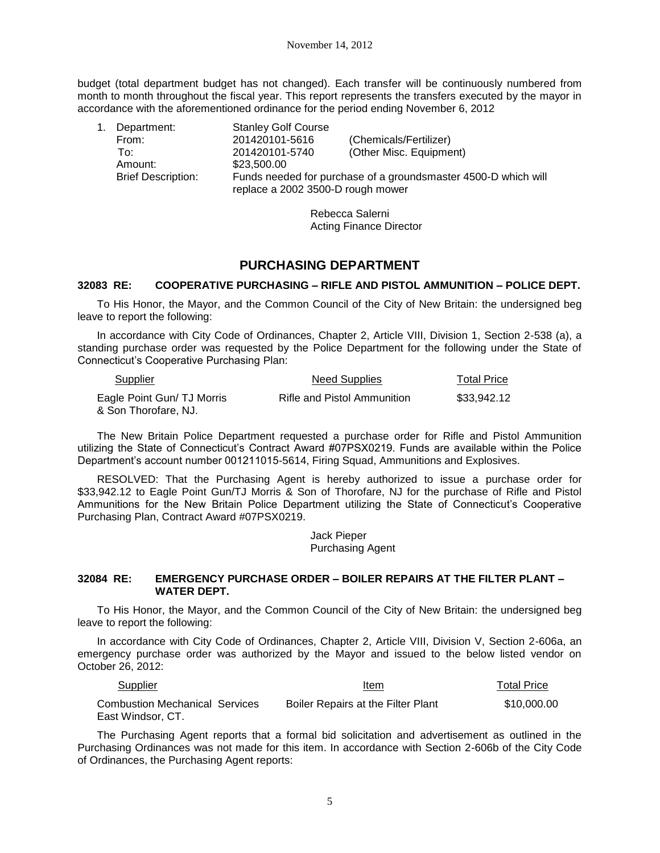budget (total department budget has not changed). Each transfer will be continuously numbered from month to month throughout the fiscal year. This report represents the transfers executed by the mayor in accordance with the aforementioned ordinance for the period ending November 6, 2012

| 1. | Department:               | <b>Stanley Golf Course</b>                                                                          |                         |
|----|---------------------------|-----------------------------------------------------------------------------------------------------|-------------------------|
|    | From:                     | 201420101-5616                                                                                      | (Chemicals/Fertilizer)  |
|    | To∵                       | 201420101-5740                                                                                      | (Other Misc. Equipment) |
|    | Amount:                   | \$23,500.00                                                                                         |                         |
|    | <b>Brief Description:</b> | Funds needed for purchase of a groundsmaster 4500-D which will<br>replace a 2002 3500-D rough mower |                         |

Rebecca Salerni Acting Finance Director

# **PURCHASING DEPARTMENT**

## **32083 RE: COOPERATIVE PURCHASING – RIFLE AND PISTOL AMMUNITION – POLICE DEPT.**

To His Honor, the Mayor, and the Common Council of the City of New Britain: the undersigned beg leave to report the following:

In accordance with City Code of Ordinances, Chapter 2, Article VIII, Division 1, Section 2-538 (a), a standing purchase order was requested by the Police Department for the following under the State of Connecticut's Cooperative Purchasing Plan:

| Supplier                                           | Need Supplies               | <b>Total Price</b> |
|----------------------------------------------------|-----------------------------|--------------------|
| Eagle Point Gun/ TJ Morris<br>& Son Thorofare, NJ. | Rifle and Pistol Ammunition | \$33,942.12        |

The New Britain Police Department requested a purchase order for Rifle and Pistol Ammunition utilizing the State of Connecticut's Contract Award #07PSX0219. Funds are available within the Police Department's account number 001211015-5614, Firing Squad, Ammunitions and Explosives.

RESOLVED: That the Purchasing Agent is hereby authorized to issue a purchase order for \$33,942.12 to Eagle Point Gun/TJ Morris & Son of Thorofare, NJ for the purchase of Rifle and Pistol Ammunitions for the New Britain Police Department utilizing the State of Connecticut's Cooperative Purchasing Plan, Contract Award #07PSX0219.

> Jack Pieper Purchasing Agent

## **32084 RE: EMERGENCY PURCHASE ORDER – BOILER REPAIRS AT THE FILTER PLANT – WATER DEPT.**

To His Honor, the Mayor, and the Common Council of the City of New Britain: the undersigned beg leave to report the following:

In accordance with City Code of Ordinances, Chapter 2, Article VIII, Division V, Section 2-606a, an emergency purchase order was authorized by the Mayor and issued to the below listed vendor on October 26, 2012:

| <b>Supplier</b>                                            | Item                               | <b>Total Price</b> |
|------------------------------------------------------------|------------------------------------|--------------------|
| <b>Combustion Mechanical Services</b><br>East Windsor, CT. | Boiler Repairs at the Filter Plant | \$10,000,00        |

The Purchasing Agent reports that a formal bid solicitation and advertisement as outlined in the Purchasing Ordinances was not made for this item. In accordance with Section 2-606b of the City Code of Ordinances, the Purchasing Agent reports: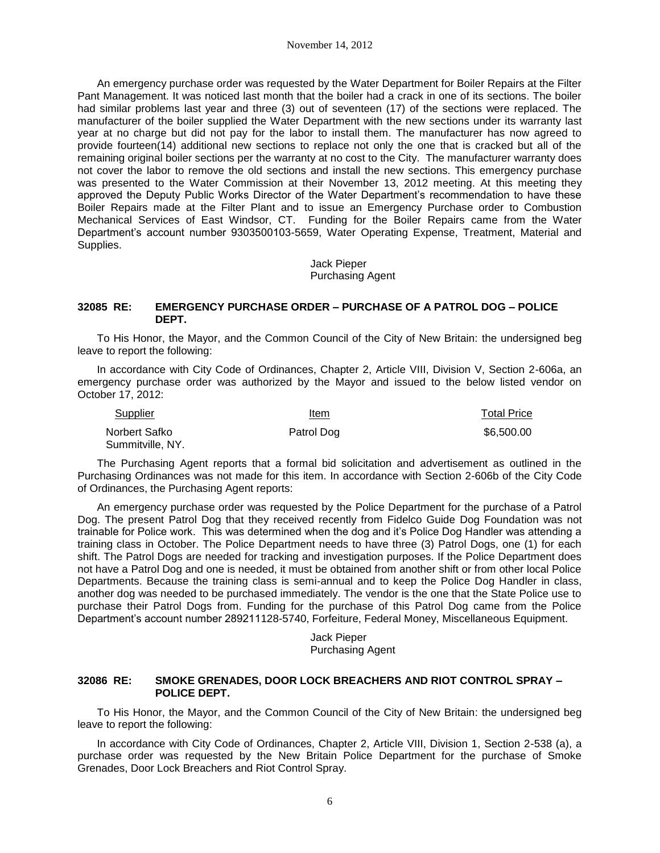An emergency purchase order was requested by the Water Department for Boiler Repairs at the Filter Pant Management. It was noticed last month that the boiler had a crack in one of its sections. The boiler had similar problems last year and three (3) out of seventeen (17) of the sections were replaced. The manufacturer of the boiler supplied the Water Department with the new sections under its warranty last year at no charge but did not pay for the labor to install them. The manufacturer has now agreed to provide fourteen(14) additional new sections to replace not only the one that is cracked but all of the remaining original boiler sections per the warranty at no cost to the City. The manufacturer warranty does not cover the labor to remove the old sections and install the new sections. This emergency purchase was presented to the Water Commission at their November 13, 2012 meeting. At this meeting they approved the Deputy Public Works Director of the Water Department's recommendation to have these Boiler Repairs made at the Filter Plant and to issue an Emergency Purchase order to Combustion Mechanical Services of East Windsor, CT. Funding for the Boiler Repairs came from the Water Department's account number 9303500103-5659, Water Operating Expense, Treatment, Material and Supplies.

> Jack Pieper Purchasing Agent

#### **32085 RE: EMERGENCY PURCHASE ORDER – PURCHASE OF A PATROL DOG – POLICE DEPT.**

To His Honor, the Mayor, and the Common Council of the City of New Britain: the undersigned beg leave to report the following:

In accordance with City Code of Ordinances, Chapter 2, Article VIII, Division V, Section 2-606a, an emergency purchase order was authorized by the Mayor and issued to the below listed vendor on October 17, 2012:

| Supplier                          | Item       | <b>Total Price</b> |
|-----------------------------------|------------|--------------------|
| Norbert Safko<br>Summitville, NY. | Patrol Dog | \$6,500.00         |

The Purchasing Agent reports that a formal bid solicitation and advertisement as outlined in the Purchasing Ordinances was not made for this item. In accordance with Section 2-606b of the City Code of Ordinances, the Purchasing Agent reports:

An emergency purchase order was requested by the Police Department for the purchase of a Patrol Dog. The present Patrol Dog that they received recently from Fidelco Guide Dog Foundation was not trainable for Police work. This was determined when the dog and it's Police Dog Handler was attending a training class in October. The Police Department needs to have three (3) Patrol Dogs, one (1) for each shift. The Patrol Dogs are needed for tracking and investigation purposes. If the Police Department does not have a Patrol Dog and one is needed, it must be obtained from another shift or from other local Police Departments. Because the training class is semi-annual and to keep the Police Dog Handler in class, another dog was needed to be purchased immediately. The vendor is the one that the State Police use to purchase their Patrol Dogs from. Funding for the purchase of this Patrol Dog came from the Police Department's account number 289211128-5740, Forfeiture, Federal Money, Miscellaneous Equipment.

> Jack Pieper Purchasing Agent

## **32086 RE: SMOKE GRENADES, DOOR LOCK BREACHERS AND RIOT CONTROL SPRAY – POLICE DEPT.**

To His Honor, the Mayor, and the Common Council of the City of New Britain: the undersigned beg leave to report the following:

In accordance with City Code of Ordinances, Chapter 2, Article VIII, Division 1, Section 2-538 (a), a purchase order was requested by the New Britain Police Department for the purchase of Smoke Grenades, Door Lock Breachers and Riot Control Spray.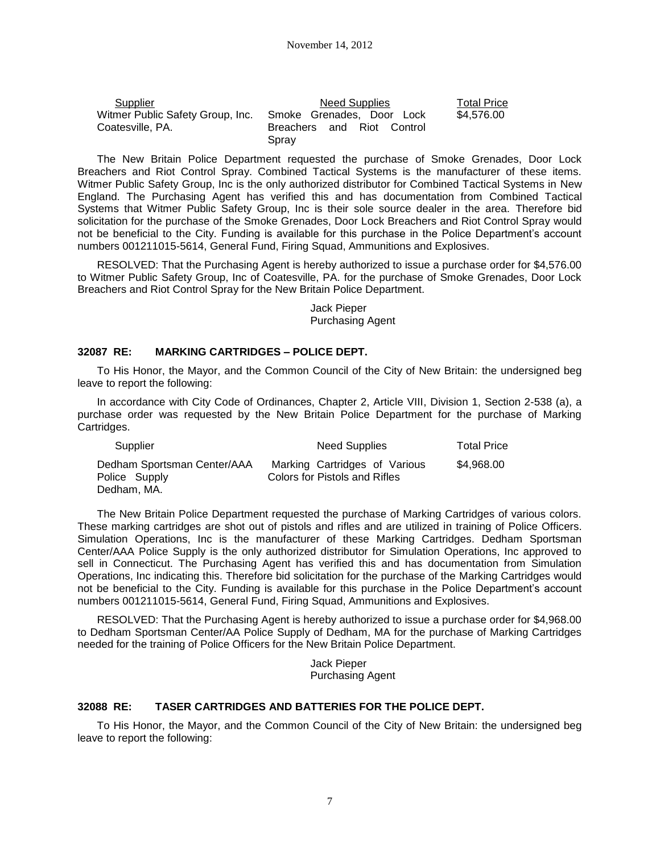| Supplier                         | Need Supplies                       | <b>Total Price</b> |
|----------------------------------|-------------------------------------|--------------------|
| Witmer Public Safety Group, Inc. | Smoke Grenades, Door Lock           | \$4.576.00         |
| Coatesville, PA.                 | Breachers and Riot Control<br>Spray |                    |

The New Britain Police Department requested the purchase of Smoke Grenades, Door Lock Breachers and Riot Control Spray. Combined Tactical Systems is the manufacturer of these items. Witmer Public Safety Group, Inc is the only authorized distributor for Combined Tactical Systems in New England. The Purchasing Agent has verified this and has documentation from Combined Tactical Systems that Witmer Public Safety Group, Inc is their sole source dealer in the area. Therefore bid solicitation for the purchase of the Smoke Grenades, Door Lock Breachers and Riot Control Spray would not be beneficial to the City. Funding is available for this purchase in the Police Department's account numbers 001211015-5614, General Fund, Firing Squad, Ammunitions and Explosives.

RESOLVED: That the Purchasing Agent is hereby authorized to issue a purchase order for \$4,576.00 to Witmer Public Safety Group, Inc of Coatesville, PA. for the purchase of Smoke Grenades, Door Lock Breachers and Riot Control Spray for the New Britain Police Department.

> Jack Pieper Purchasing Agent

### **32087 RE: MARKING CARTRIDGES – POLICE DEPT.**

To His Honor, the Mayor, and the Common Council of the City of New Britain: the undersigned beg leave to report the following:

In accordance with City Code of Ordinances, Chapter 2, Article VIII, Division 1, Section 2-538 (a), a purchase order was requested by the New Britain Police Department for the purchase of Marking Cartridges.

| Supplier                                                    | <b>Need Supplies</b>                                           | <b>Total Price</b> |
|-------------------------------------------------------------|----------------------------------------------------------------|--------------------|
| Dedham Sportsman Center/AAA<br>Police Supply<br>Dedham, MA. | Marking Cartridges of Various<br>Colors for Pistols and Rifles | \$4.968.00         |

The New Britain Police Department requested the purchase of Marking Cartridges of various colors. These marking cartridges are shot out of pistols and rifles and are utilized in training of Police Officers. Simulation Operations, Inc is the manufacturer of these Marking Cartridges. Dedham Sportsman Center/AAA Police Supply is the only authorized distributor for Simulation Operations, Inc approved to sell in Connecticut. The Purchasing Agent has verified this and has documentation from Simulation Operations, Inc indicating this. Therefore bid solicitation for the purchase of the Marking Cartridges would not be beneficial to the City. Funding is available for this purchase in the Police Department's account numbers 001211015-5614, General Fund, Firing Squad, Ammunitions and Explosives.

RESOLVED: That the Purchasing Agent is hereby authorized to issue a purchase order for \$4,968.00 to Dedham Sportsman Center/AA Police Supply of Dedham, MA for the purchase of Marking Cartridges needed for the training of Police Officers for the New Britain Police Department.

> Jack Pieper Purchasing Agent

## **32088 RE: TASER CARTRIDGES AND BATTERIES FOR THE POLICE DEPT.**

To His Honor, the Mayor, and the Common Council of the City of New Britain: the undersigned beg leave to report the following: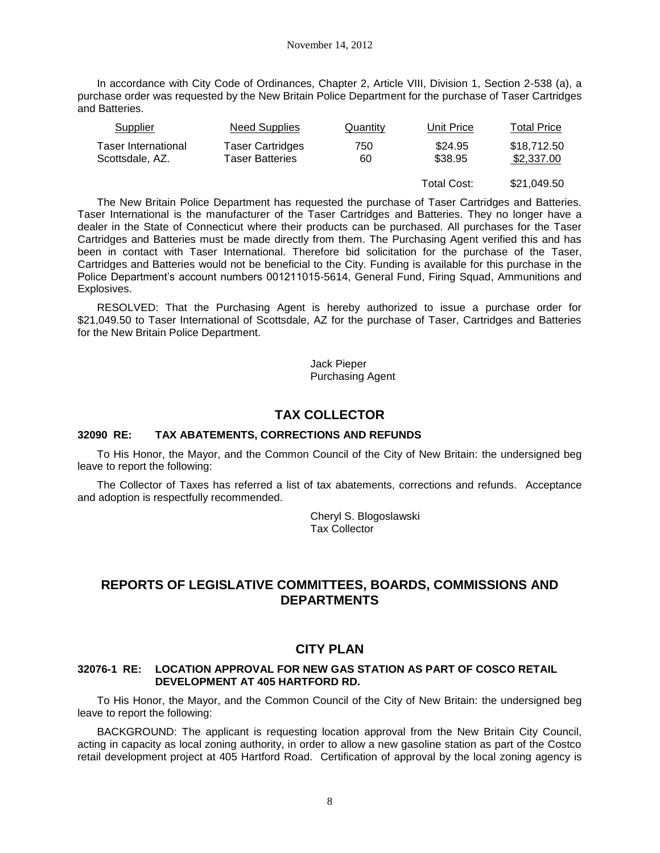In accordance with City Code of Ordinances, Chapter 2, Article VIII, Division 1, Section 2-538 (a), a purchase order was requested by the New Britain Police Department for the purchase of Taser Cartridges and Batteries.

| <b>Supplier</b>                               | <b>Need Supplies</b>                              | <b>Quantity</b> | Unit Price         | Total Price               |
|-----------------------------------------------|---------------------------------------------------|-----------------|--------------------|---------------------------|
| <b>Taser International</b><br>Scottsdale, AZ. | <b>Taser Cartridges</b><br><b>Taser Batteries</b> | 750<br>60       | \$24.95<br>\$38.95 | \$18,712.50<br>\$2,337.00 |
|                                               |                                                   |                 | Total Cost:        | \$21,049.50               |

The New Britain Police Department has requested the purchase of Taser Cartridges and Batteries. Taser International is the manufacturer of the Taser Cartridges and Batteries. They no longer have a dealer in the State of Connecticut where their products can be purchased. All purchases for the Taser Cartridges and Batteries must be made directly from them. The Purchasing Agent verified this and has been in contact with Taser International. Therefore bid solicitation for the purchase of the Taser, Cartridges and Batteries would not be beneficial to the City. Funding is available for this purchase in the Police Department's account numbers 001211015-5614, General Fund, Firing Squad, Ammunitions and Explosives.

RESOLVED: That the Purchasing Agent is hereby authorized to issue a purchase order for \$21,049.50 to Taser International of Scottsdale, AZ for the purchase of Taser, Cartridges and Batteries for the New Britain Police Department.

> Jack Pieper Purchasing Agent

## **TAX COLLECTOR**

## **32090 RE: TAX ABATEMENTS, CORRECTIONS AND REFUNDS**

To His Honor, the Mayor, and the Common Council of the City of New Britain: the undersigned beg leave to report the following:

The Collector of Taxes has referred a list of tax abatements, corrections and refunds. Acceptance and adoption is respectfully recommended.

> Cheryl S. Blogoslawski Tax Collector

## **REPORTS OF LEGISLATIVE COMMITTEES, BOARDS, COMMISSIONS AND DEPARTMENTS**

## **CITY PLAN**

### **32076-1 RE: LOCATION APPROVAL FOR NEW GAS STATION AS PART OF COSCO RETAIL DEVELOPMENT AT 405 HARTFORD RD.**

To His Honor, the Mayor, and the Common Council of the City of New Britain: the undersigned beg leave to report the following:

BACKGROUND: The applicant is requesting location approval from the New Britain City Council, acting in capacity as local zoning authority, in order to allow a new gasoline station as part of the Costco retail development project at 405 Hartford Road. Certification of approval by the local zoning agency is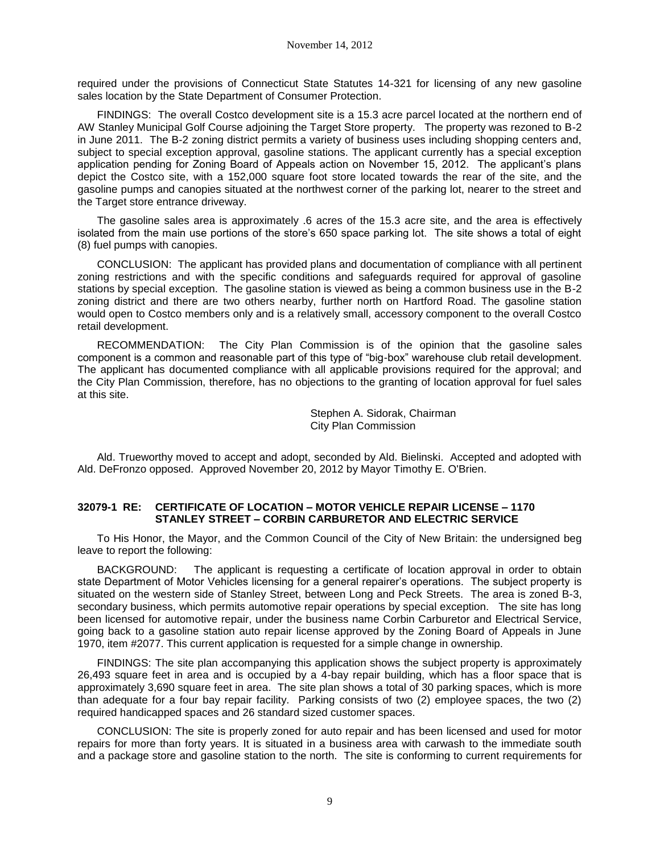required under the provisions of Connecticut State Statutes 14-321 for licensing of any new gasoline sales location by the State Department of Consumer Protection.

FINDINGS: The overall Costco development site is a 15.3 acre parcel located at the northern end of AW Stanley Municipal Golf Course adjoining the Target Store property. The property was rezoned to B-2 in June 2011. The B-2 zoning district permits a variety of business uses including shopping centers and, subject to special exception approval, gasoline stations. The applicant currently has a special exception application pending for Zoning Board of Appeals action on November 15, 2012. The applicant's plans depict the Costco site, with a 152,000 square foot store located towards the rear of the site, and the gasoline pumps and canopies situated at the northwest corner of the parking lot, nearer to the street and the Target store entrance driveway.

The gasoline sales area is approximately .6 acres of the 15.3 acre site, and the area is effectively isolated from the main use portions of the store's 650 space parking lot. The site shows a total of eight (8) fuel pumps with canopies.

CONCLUSION: The applicant has provided plans and documentation of compliance with all pertinent zoning restrictions and with the specific conditions and safeguards required for approval of gasoline stations by special exception. The gasoline station is viewed as being a common business use in the B-2 zoning district and there are two others nearby, further north on Hartford Road. The gasoline station would open to Costco members only and is a relatively small, accessory component to the overall Costco retail development.

RECOMMENDATION: The City Plan Commission is of the opinion that the gasoline sales component is a common and reasonable part of this type of "big-box" warehouse club retail development. The applicant has documented compliance with all applicable provisions required for the approval; and the City Plan Commission, therefore, has no objections to the granting of location approval for fuel sales at this site.

> Stephen A. Sidorak, Chairman City Plan Commission

Ald. Trueworthy moved to accept and adopt, seconded by Ald. Bielinski. Accepted and adopted with Ald. DeFronzo opposed. Approved November 20, 2012 by Mayor Timothy E. O'Brien.

## **32079-1 RE: CERTIFICATE OF LOCATION – MOTOR VEHICLE REPAIR LICENSE – 1170 STANLEY STREET – CORBIN CARBURETOR AND ELECTRIC SERVICE**

To His Honor, the Mayor, and the Common Council of the City of New Britain: the undersigned beg leave to report the following:

BACKGROUND: The applicant is requesting a certificate of location approval in order to obtain state Department of Motor Vehicles licensing for a general repairer's operations. The subject property is situated on the western side of Stanley Street, between Long and Peck Streets. The area is zoned B-3, secondary business, which permits automotive repair operations by special exception. The site has long been licensed for automotive repair, under the business name Corbin Carburetor and Electrical Service, going back to a gasoline station auto repair license approved by the Zoning Board of Appeals in June 1970, item #2077. This current application is requested for a simple change in ownership.

FINDINGS: The site plan accompanying this application shows the subject property is approximately 26,493 square feet in area and is occupied by a 4-bay repair building, which has a floor space that is approximately 3,690 square feet in area. The site plan shows a total of 30 parking spaces, which is more than adequate for a four bay repair facility. Parking consists of two (2) employee spaces, the two (2) required handicapped spaces and 26 standard sized customer spaces.

CONCLUSION: The site is properly zoned for auto repair and has been licensed and used for motor repairs for more than forty years. It is situated in a business area with carwash to the immediate south and a package store and gasoline station to the north. The site is conforming to current requirements for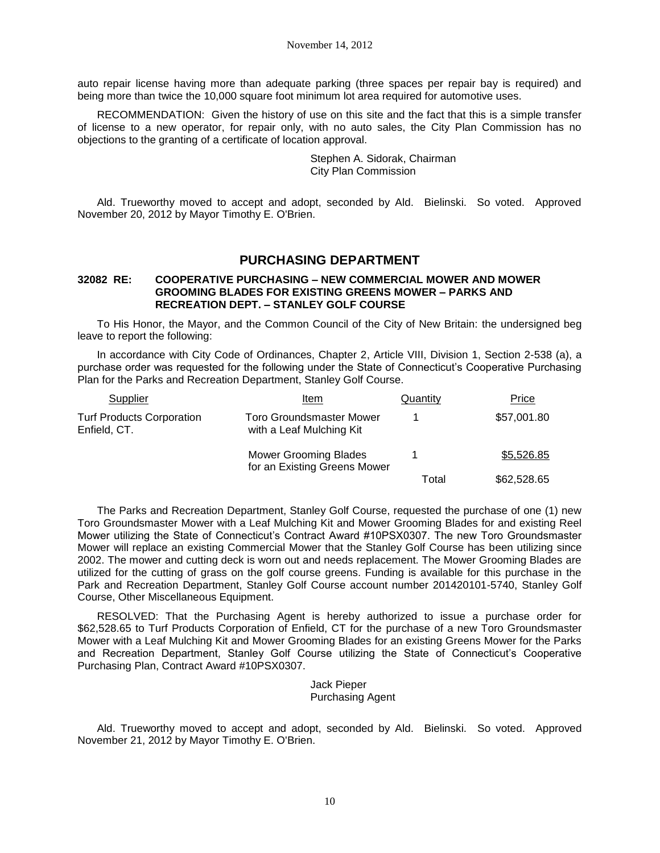auto repair license having more than adequate parking (three spaces per repair bay is required) and being more than twice the 10,000 square foot minimum lot area required for automotive uses.

RECOMMENDATION: Given the history of use on this site and the fact that this is a simple transfer of license to a new operator, for repair only, with no auto sales, the City Plan Commission has no objections to the granting of a certificate of location approval.

> Stephen A. Sidorak, Chairman City Plan Commission

Ald. Trueworthy moved to accept and adopt, seconded by Ald. Bielinski. So voted. Approved November 20, 2012 by Mayor Timothy E. O'Brien.

## **PURCHASING DEPARTMENT**

### **32082 RE: COOPERATIVE PURCHASING – NEW COMMERCIAL MOWER AND MOWER GROOMING BLADES FOR EXISTING GREENS MOWER – PARKS AND RECREATION DEPT. – STANLEY GOLF COURSE**

To His Honor, the Mayor, and the Common Council of the City of New Britain: the undersigned beg leave to report the following:

In accordance with City Code of Ordinances, Chapter 2, Article VIII, Division 1, Section 2-538 (a), a purchase order was requested for the following under the State of Connecticut's Cooperative Purchasing Plan for the Parks and Recreation Department, Stanley Golf Course.

| Supplier                                         | Item                                                         | Quantity | Price       |
|--------------------------------------------------|--------------------------------------------------------------|----------|-------------|
| <b>Turf Products Corporation</b><br>Enfield, CT. | Toro Groundsmaster Mower<br>with a Leaf Mulching Kit         |          | \$57,001.80 |
|                                                  | <b>Mower Grooming Blades</b><br>for an Existing Greens Mower |          | \$5,526.85  |
|                                                  |                                                              | Total    | \$62,528.65 |

The Parks and Recreation Department, Stanley Golf Course, requested the purchase of one (1) new Toro Groundsmaster Mower with a Leaf Mulching Kit and Mower Grooming Blades for and existing Reel Mower utilizing the State of Connecticut's Contract Award #10PSX0307. The new Toro Groundsmaster Mower will replace an existing Commercial Mower that the Stanley Golf Course has been utilizing since 2002. The mower and cutting deck is worn out and needs replacement. The Mower Grooming Blades are utilized for the cutting of grass on the golf course greens. Funding is available for this purchase in the Park and Recreation Department, Stanley Golf Course account number 201420101-5740, Stanley Golf Course, Other Miscellaneous Equipment.

RESOLVED: That the Purchasing Agent is hereby authorized to issue a purchase order for \$62,528.65 to Turf Products Corporation of Enfield, CT for the purchase of a new Toro Groundsmaster Mower with a Leaf Mulching Kit and Mower Grooming Blades for an existing Greens Mower for the Parks and Recreation Department, Stanley Golf Course utilizing the State of Connecticut's Cooperative Purchasing Plan, Contract Award #10PSX0307.

> Jack Pieper Purchasing Agent

Ald. Trueworthy moved to accept and adopt, seconded by Ald. Bielinski. So voted. Approved November 21, 2012 by Mayor Timothy E. O'Brien.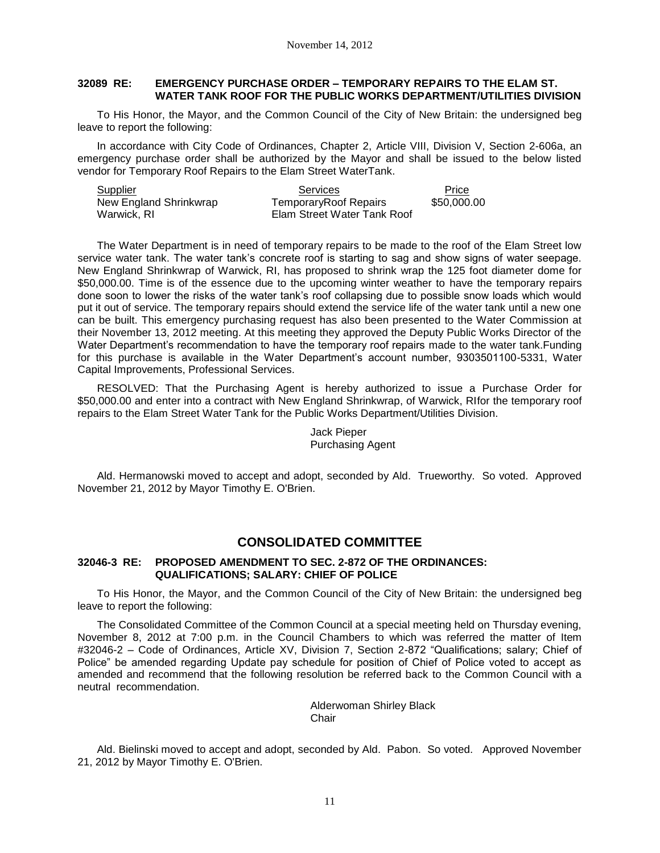## **32089 RE: EMERGENCY PURCHASE ORDER – TEMPORARY REPAIRS TO THE ELAM ST. WATER TANK ROOF FOR THE PUBLIC WORKS DEPARTMENT/UTILITIES DIVISION**

To His Honor, the Mayor, and the Common Council of the City of New Britain: the undersigned beg leave to report the following:

In accordance with City Code of Ordinances, Chapter 2, Article VIII, Division V, Section 2-606a, an emergency purchase order shall be authorized by the Mayor and shall be issued to the below listed vendor for Temporary Roof Repairs to the Elam Street WaterTank.

| Supplier               | Services                    | Price       |
|------------------------|-----------------------------|-------------|
| New England Shrinkwrap | TemporaryRoof Repairs       | \$50,000.00 |
| Warwick, RI            | Elam Street Water Tank Roof |             |

The Water Department is in need of temporary repairs to be made to the roof of the Elam Street low service water tank. The water tank's concrete roof is starting to sag and show signs of water seepage. New England Shrinkwrap of Warwick, RI, has proposed to shrink wrap the 125 foot diameter dome for \$50,000.00. Time is of the essence due to the upcoming winter weather to have the temporary repairs done soon to lower the risks of the water tank's roof collapsing due to possible snow loads which would put it out of service. The temporary repairs should extend the service life of the water tank until a new one can be built. This emergency purchasing request has also been presented to the Water Commission at their November 13, 2012 meeting. At this meeting they approved the Deputy Public Works Director of the Water Department's recommendation to have the temporary roof repairs made to the water tank.Funding for this purchase is available in the Water Department's account number, 9303501100-5331, Water Capital Improvements, Professional Services.

RESOLVED: That the Purchasing Agent is hereby authorized to issue a Purchase Order for \$50,000.00 and enter into a contract with New England Shrinkwrap, of Warwick, RIfor the temporary roof repairs to the Elam Street Water Tank for the Public Works Department/Utilities Division.

> Jack Pieper Purchasing Agent

Ald. Hermanowski moved to accept and adopt, seconded by Ald. Trueworthy. So voted. Approved November 21, 2012 by Mayor Timothy E. O'Brien.

## **CONSOLIDATED COMMITTEE**

### **32046-3 RE: PROPOSED AMENDMENT TO SEC. 2-872 OF THE ORDINANCES: QUALIFICATIONS; SALARY: CHIEF OF POLICE**

To His Honor, the Mayor, and the Common Council of the City of New Britain: the undersigned beg leave to report the following:

The Consolidated Committee of the Common Council at a special meeting held on Thursday evening, November 8, 2012 at 7:00 p.m. in the Council Chambers to which was referred the matter of Item #32046-2 – Code of Ordinances, Article XV, Division 7, Section 2-872 "Qualifications; salary; Chief of Police" be amended regarding Update pay schedule for position of Chief of Police voted to accept as amended and recommend that the following resolution be referred back to the Common Council with a neutral recommendation.

> Alderwoman Shirley Black **Chair**

Ald. Bielinski moved to accept and adopt, seconded by Ald. Pabon. So voted. Approved November 21, 2012 by Mayor Timothy E. O'Brien.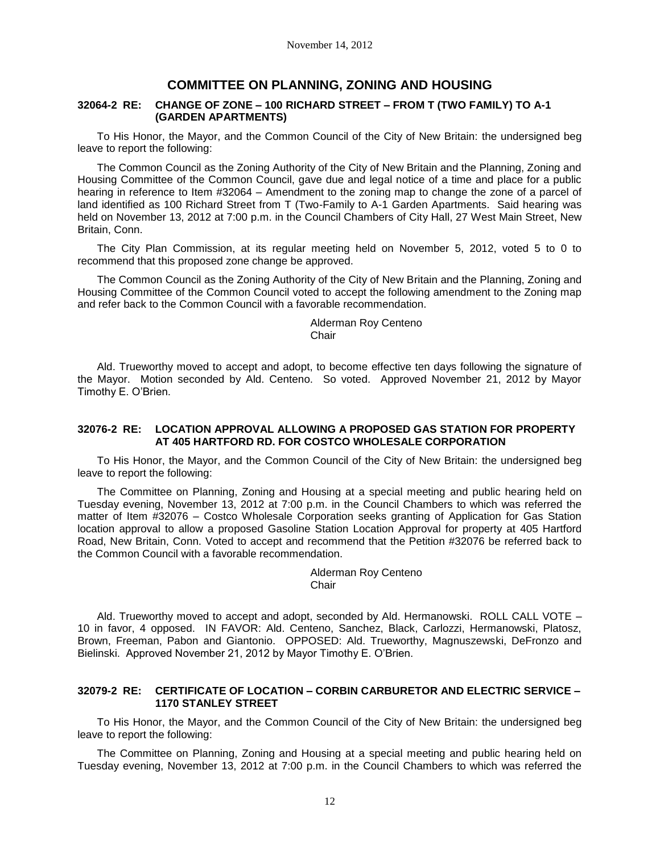## **COMMITTEE ON PLANNING, ZONING AND HOUSING**

#### **32064-2 RE: CHANGE OF ZONE – 100 RICHARD STREET – FROM T (TWO FAMILY) TO A-1 (GARDEN APARTMENTS)**

To His Honor, the Mayor, and the Common Council of the City of New Britain: the undersigned beg leave to report the following:

The Common Council as the Zoning Authority of the City of New Britain and the Planning, Zoning and Housing Committee of the Common Council, gave due and legal notice of a time and place for a public hearing in reference to Item #32064 – Amendment to the zoning map to change the zone of a parcel of land identified as 100 Richard Street from T (Two-Family to A-1 Garden Apartments. Said hearing was held on November 13, 2012 at 7:00 p.m. in the Council Chambers of City Hall, 27 West Main Street, New Britain, Conn.

The City Plan Commission, at its regular meeting held on November 5, 2012, voted 5 to 0 to recommend that this proposed zone change be approved.

The Common Council as the Zoning Authority of the City of New Britain and the Planning, Zoning and Housing Committee of the Common Council voted to accept the following amendment to the Zoning map and refer back to the Common Council with a favorable recommendation.

> Alderman Roy Centeno Chair

Ald. Trueworthy moved to accept and adopt, to become effective ten days following the signature of the Mayor. Motion seconded by Ald. Centeno. So voted. Approved November 21, 2012 by Mayor Timothy E. O'Brien.

#### **32076-2 RE: LOCATION APPROVAL ALLOWING A PROPOSED GAS STATION FOR PROPERTY AT 405 HARTFORD RD. FOR COSTCO WHOLESALE CORPORATION**

To His Honor, the Mayor, and the Common Council of the City of New Britain: the undersigned beg leave to report the following:

The Committee on Planning, Zoning and Housing at a special meeting and public hearing held on Tuesday evening, November 13, 2012 at 7:00 p.m. in the Council Chambers to which was referred the matter of Item #32076 – Costco Wholesale Corporation seeks granting of Application for Gas Station location approval to allow a proposed Gasoline Station Location Approval for property at 405 Hartford Road, New Britain, Conn. Voted to accept and recommend that the Petition #32076 be referred back to the Common Council with a favorable recommendation.

> Alderman Roy Centeno **Chair**

Ald. Trueworthy moved to accept and adopt, seconded by Ald. Hermanowski. ROLL CALL VOTE – 10 in favor, 4 opposed. IN FAVOR: Ald. Centeno, Sanchez, Black, Carlozzi, Hermanowski, Platosz, Brown, Freeman, Pabon and Giantonio. OPPOSED: Ald. Trueworthy, Magnuszewski, DeFronzo and Bielinski. Approved November 21, 2012 by Mayor Timothy E. O'Brien.

### **32079-2 RE: CERTIFICATE OF LOCATION – CORBIN CARBURETOR AND ELECTRIC SERVICE – 1170 STANLEY STREET**

To His Honor, the Mayor, and the Common Council of the City of New Britain: the undersigned beg leave to report the following:

The Committee on Planning, Zoning and Housing at a special meeting and public hearing held on Tuesday evening, November 13, 2012 at 7:00 p.m. in the Council Chambers to which was referred the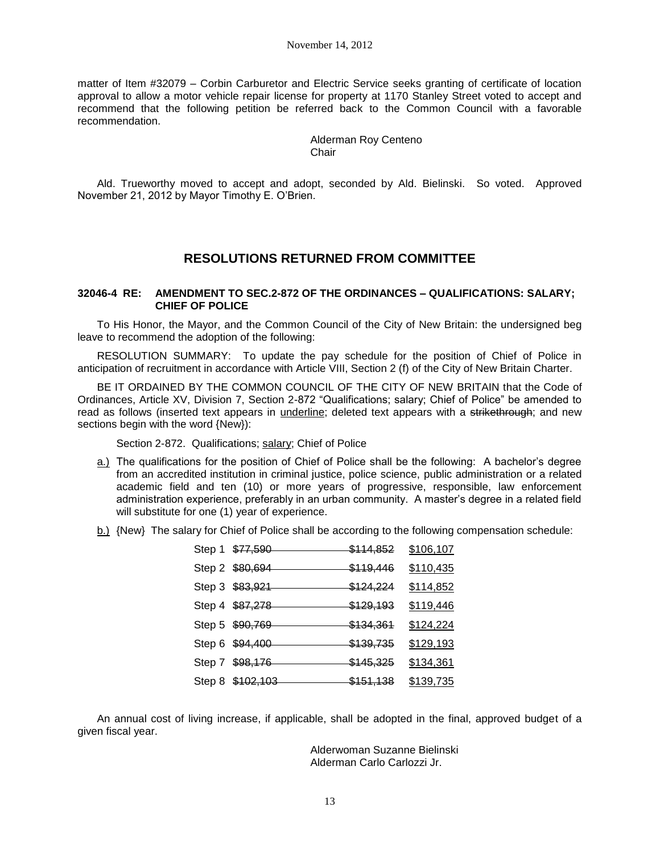matter of Item #32079 – Corbin Carburetor and Electric Service seeks granting of certificate of location approval to allow a motor vehicle repair license for property at 1170 Stanley Street voted to accept and recommend that the following petition be referred back to the Common Council with a favorable recommendation.

> Alderman Roy Centeno Chair

Ald. Trueworthy moved to accept and adopt, seconded by Ald. Bielinski. So voted. Approved November 21, 2012 by Mayor Timothy E. O'Brien.

# **RESOLUTIONS RETURNED FROM COMMITTEE**

#### **32046-4 RE: AMENDMENT TO SEC.2-872 OF THE ORDINANCES – QUALIFICATIONS: SALARY; CHIEF OF POLICE**

To His Honor, the Mayor, and the Common Council of the City of New Britain: the undersigned beg leave to recommend the adoption of the following:

RESOLUTION SUMMARY: To update the pay schedule for the position of Chief of Police in anticipation of recruitment in accordance with Article VIII, Section 2 (f) of the City of New Britain Charter.

BE IT ORDAINED BY THE COMMON COUNCIL OF THE CITY OF NEW BRITAIN that the Code of Ordinances, Article XV, Division 7, Section 2-872 "Qualifications; salary; Chief of Police" be amended to read as follows (inserted text appears in underline; deleted text appears with a strikethrough; and new sections begin with the word {New}):

Section 2-872. Qualifications; salary; Chief of Police

- a.) The qualifications for the position of Chief of Police shall be the following: A bachelor's degree from an accredited institution in criminal justice, police science, public administration or a related academic field and ten (10) or more years of progressive, responsible, law enforcement administration experience, preferably in an urban community. A master's degree in a related field will substitute for one (1) year of experience.
- b.) {New} The salary for Chief of Police shall be according to the following compensation schedule:

| Step 1 \$77,590  | \$114,852 | \$106,107 |
|------------------|-----------|-----------|
| Step 2 \$80,694  | \$119,446 | \$110,435 |
| Step 3 \$83,921  | \$124,224 | \$114,852 |
| Step 4 \$87,278  | \$129,193 | \$119,446 |
| Step 5 \$90,769  | \$134,361 | \$124,224 |
| Step 6 \$94,400  | \$139,735 | \$129,193 |
| Step 7 \$98,176  | \$145,325 | \$134,361 |
| Step 8 \$102,103 | \$151,138 | \$139,735 |

An annual cost of living increase, if applicable, shall be adopted in the final, approved budget of a given fiscal year.

> Alderwoman Suzanne Bielinski Alderman Carlo Carlozzi Jr.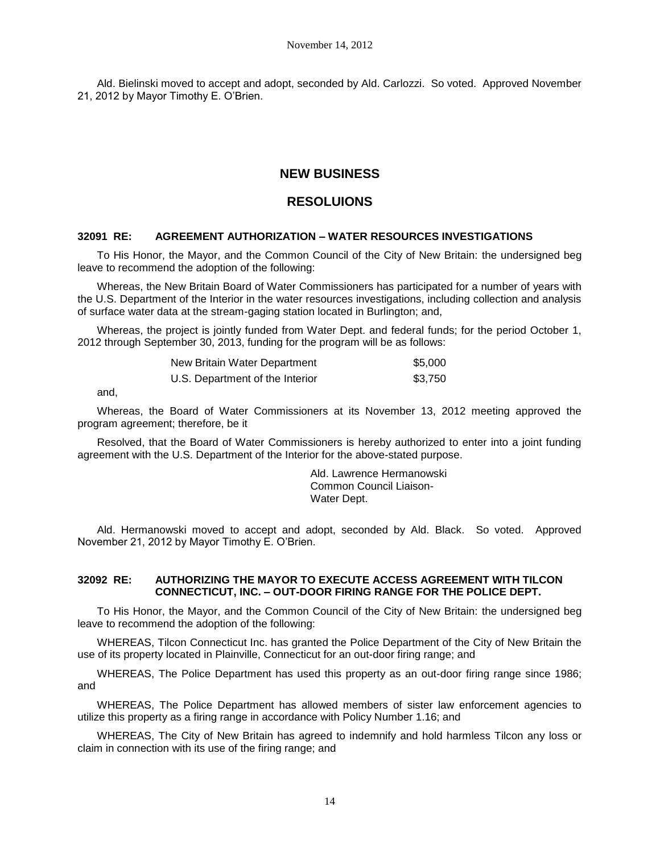Ald. Bielinski moved to accept and adopt, seconded by Ald. Carlozzi. So voted. Approved November 21, 2012 by Mayor Timothy E. O'Brien.

# **NEW BUSINESS**

# **RESOLUIONS**

## **32091 RE: AGREEMENT AUTHORIZATION – WATER RESOURCES INVESTIGATIONS**

To His Honor, the Mayor, and the Common Council of the City of New Britain: the undersigned beg leave to recommend the adoption of the following:

Whereas, the New Britain Board of Water Commissioners has participated for a number of years with the U.S. Department of the Interior in the water resources investigations, including collection and analysis of surface water data at the stream-gaging station located in Burlington; and,

Whereas, the project is jointly funded from Water Dept. and federal funds; for the period October 1, 2012 through September 30, 2013, funding for the program will be as follows:

| New Britain Water Department    | \$5.000 |
|---------------------------------|---------|
| U.S. Department of the Interior | \$3.750 |

and,

Whereas, the Board of Water Commissioners at its November 13, 2012 meeting approved the program agreement; therefore, be it

Resolved, that the Board of Water Commissioners is hereby authorized to enter into a joint funding agreement with the U.S. Department of the Interior for the above-stated purpose.

> Ald. Lawrence Hermanowski Common Council Liaison-Water Dept.

Ald. Hermanowski moved to accept and adopt, seconded by Ald. Black. So voted. Approved November 21, 2012 by Mayor Timothy E. O'Brien.

## **32092 RE: AUTHORIZING THE MAYOR TO EXECUTE ACCESS AGREEMENT WITH TILCON CONNECTICUT, INC. – OUT-DOOR FIRING RANGE FOR THE POLICE DEPT.**

To His Honor, the Mayor, and the Common Council of the City of New Britain: the undersigned beg leave to recommend the adoption of the following:

WHEREAS, Tilcon Connecticut Inc. has granted the Police Department of the City of New Britain the use of its property located in Plainville, Connecticut for an out-door firing range; and

WHEREAS, The Police Department has used this property as an out-door firing range since 1986; and

WHEREAS, The Police Department has allowed members of sister law enforcement agencies to utilize this property as a firing range in accordance with Policy Number 1.16; and

WHEREAS, The City of New Britain has agreed to indemnify and hold harmless Tilcon any loss or claim in connection with its use of the firing range; and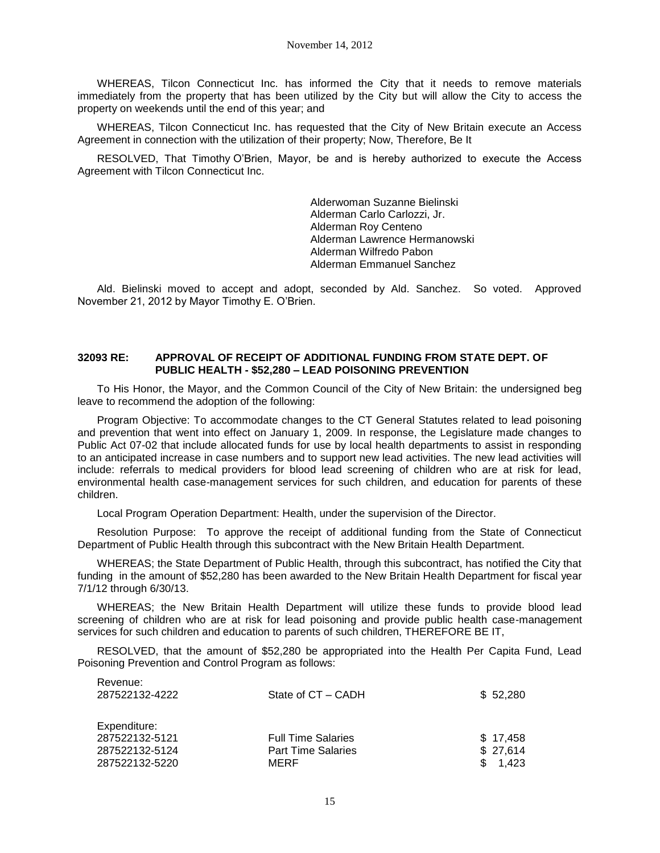WHEREAS, Tilcon Connecticut Inc. has informed the City that it needs to remove materials immediately from the property that has been utilized by the City but will allow the City to access the property on weekends until the end of this year; and

WHEREAS, Tilcon Connecticut Inc. has requested that the City of New Britain execute an Access Agreement in connection with the utilization of their property; Now, Therefore, Be It

RESOLVED, That Timothy O'Brien, Mayor, be and is hereby authorized to execute the Access Agreement with Tilcon Connecticut Inc.

> Alderwoman Suzanne Bielinski Alderman Carlo Carlozzi, Jr. Alderman Roy Centeno Alderman Lawrence Hermanowski Alderman Wilfredo Pabon Alderman Emmanuel Sanchez

Ald. Bielinski moved to accept and adopt, seconded by Ald. Sanchez. So voted. Approved November 21, 2012 by Mayor Timothy E. O'Brien.

#### **32093 RE: APPROVAL OF RECEIPT OF ADDITIONAL FUNDING FROM STATE DEPT. OF PUBLIC HEALTH - \$52,280 – LEAD POISONING PREVENTION**

To His Honor, the Mayor, and the Common Council of the City of New Britain: the undersigned beg leave to recommend the adoption of the following:

Program Objective: To accommodate changes to the CT General Statutes related to lead poisoning and prevention that went into effect on January 1, 2009. In response, the Legislature made changes to Public Act 07-02 that include allocated funds for use by local health departments to assist in responding to an anticipated increase in case numbers and to support new lead activities. The new lead activities will include: referrals to medical providers for blood lead screening of children who are at risk for lead, environmental health case-management services for such children, and education for parents of these children.

Local Program Operation Department: Health, under the supervision of the Director.

Resolution Purpose: To approve the receipt of additional funding from the State of Connecticut Department of Public Health through this subcontract with the New Britain Health Department.

WHEREAS; the State Department of Public Health, through this subcontract, has notified the City that funding in the amount of \$52,280 has been awarded to the New Britain Health Department for fiscal year 7/1/12 through 6/30/13.

WHEREAS; the New Britain Health Department will utilize these funds to provide blood lead screening of children who are at risk for lead poisoning and provide public health case-management services for such children and education to parents of such children, THEREFORE BE IT,

RESOLVED, that the amount of \$52,280 be appropriated into the Health Per Capita Fund, Lead Poisoning Prevention and Control Program as follows:

| Revenue:<br>287522132-4222                                         | State of CT – CADH                                             | \$52,280                        |
|--------------------------------------------------------------------|----------------------------------------------------------------|---------------------------------|
| Expenditure:<br>287522132-5121<br>287522132-5124<br>287522132-5220 | <b>Full Time Salaries</b><br><b>Part Time Salaries</b><br>MERF | \$17.458<br>\$27,614<br>\$1.423 |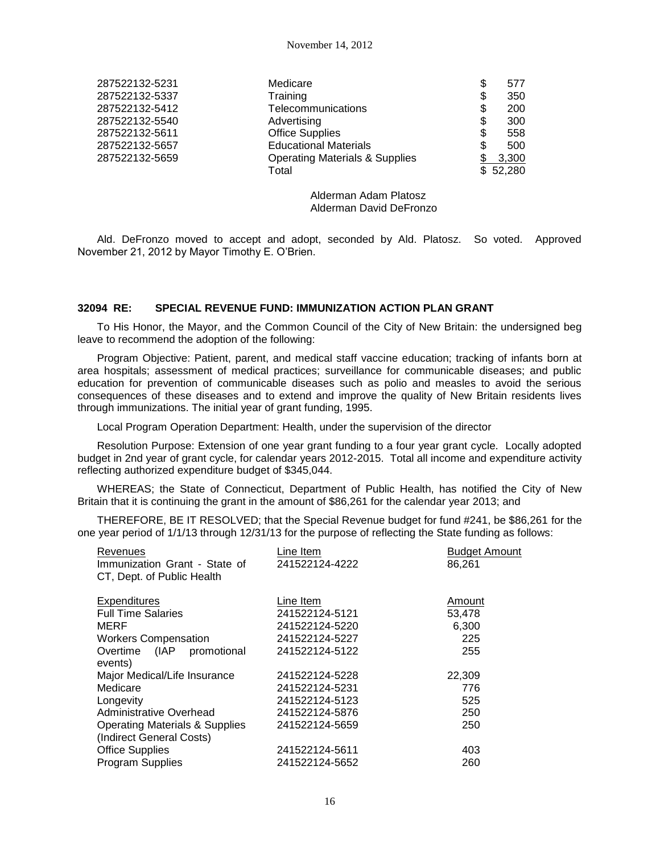| 287522132-5231 | Medicare                                  |    | 577      |
|----------------|-------------------------------------------|----|----------|
| 287522132-5337 | Training                                  | \$ | 350      |
| 287522132-5412 | Telecommunications                        | S  | 200      |
| 287522132-5540 | Advertising                               |    | 300      |
| 287522132-5611 | <b>Office Supplies</b>                    |    | 558      |
| 287522132-5657 | <b>Educational Materials</b>              |    | 500      |
| 287522132-5659 | <b>Operating Materials &amp; Supplies</b> |    | 3,300    |
|                | Total                                     |    | \$52,280 |
|                |                                           |    |          |

Alderman Adam Platosz Alderman David DeFronzo

Ald. DeFronzo moved to accept and adopt, seconded by Ald. Platosz. So voted. Approved November 21, 2012 by Mayor Timothy E. O'Brien.

### **32094 RE: SPECIAL REVENUE FUND: IMMUNIZATION ACTION PLAN GRANT**

To His Honor, the Mayor, and the Common Council of the City of New Britain: the undersigned beg leave to recommend the adoption of the following:

Program Objective: Patient, parent, and medical staff vaccine education; tracking of infants born at area hospitals; assessment of medical practices; surveillance for communicable diseases; and public education for prevention of communicable diseases such as polio and measles to avoid the serious consequences of these diseases and to extend and improve the quality of New Britain residents lives through immunizations. The initial year of grant funding, 1995.

Local Program Operation Department: Health, under the supervision of the director

Resolution Purpose: Extension of one year grant funding to a four year grant cycle. Locally adopted budget in 2nd year of grant cycle, for calendar years 2012-2015. Total all income and expenditure activity reflecting authorized expenditure budget of \$345,044.

WHEREAS; the State of Connecticut, Department of Public Health, has notified the City of New Britain that it is continuing the grant in the amount of \$86,261 for the calendar year 2013; and

THEREFORE, BE IT RESOLVED; that the Special Revenue budget for fund #241, be \$86,261 for the one year period of 1/1/13 through 12/31/13 for the purpose of reflecting the State funding as follows:

| Revenues<br>Immunization Grant - State of<br>CT, Dept. of Public Health | Line Item<br>241522124-4222 | <b>Budget Amount</b><br>86,261 |
|-------------------------------------------------------------------------|-----------------------------|--------------------------------|
| <b>Expenditures</b>                                                     | Line Item                   | Amount                         |
| <b>Full Time Salaries</b>                                               | 241522124-5121              | 53,478                         |
| MERF                                                                    | 241522124-5220              | 6,300                          |
| <b>Workers Compensation</b>                                             | 241522124-5227              | 225                            |
| Overtime (IAP promotional<br>events)                                    | 241522124-5122              | 255                            |
| Major Medical/Life Insurance                                            | 241522124-5228              | 22,309                         |
| Medicare                                                                | 241522124-5231              | 776                            |
| Longevity                                                               | 241522124-5123              | 525                            |
| Administrative Overhead                                                 | 241522124-5876              | 250                            |
| <b>Operating Materials &amp; Supplies</b>                               | 241522124-5659              | 250                            |
| (Indirect General Costs)                                                |                             |                                |
| <b>Office Supplies</b>                                                  | 241522124-5611              | 403                            |
| Program Supplies                                                        | 241522124-5652              | 260                            |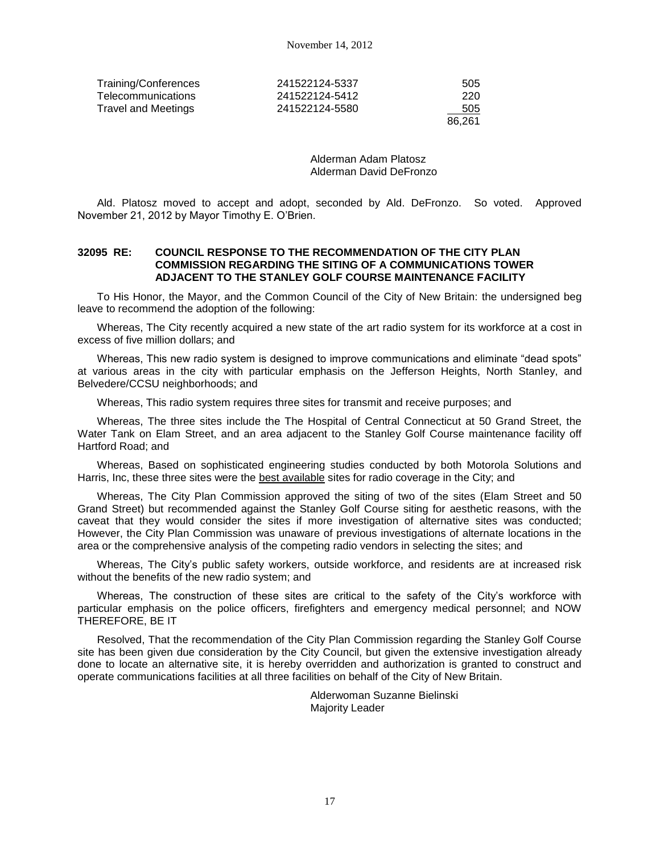| Training/Conferences      | 241522124-5337 | 505    |
|---------------------------|----------------|--------|
| <b>Telecommunications</b> | 241522124-5412 | 220    |
| Travel and Meetings       | 241522124-5580 | 505    |
|                           |                | 86.261 |

Alderman Adam Platosz Alderman David DeFronzo

Ald. Platosz moved to accept and adopt, seconded by Ald. DeFronzo. So voted. Approved November 21, 2012 by Mayor Timothy E. O'Brien.

### **32095 RE: COUNCIL RESPONSE TO THE RECOMMENDATION OF THE CITY PLAN COMMISSION REGARDING THE SITING OF A COMMUNICATIONS TOWER ADJACENT TO THE STANLEY GOLF COURSE MAINTENANCE FACILITY**

To His Honor, the Mayor, and the Common Council of the City of New Britain: the undersigned beg leave to recommend the adoption of the following:

Whereas, The City recently acquired a new state of the art radio system for its workforce at a cost in excess of five million dollars; and

Whereas, This new radio system is designed to improve communications and eliminate "dead spots" at various areas in the city with particular emphasis on the Jefferson Heights, North Stanley, and Belvedere/CCSU neighborhoods; and

Whereas, This radio system requires three sites for transmit and receive purposes; and

Whereas, The three sites include the The Hospital of Central Connecticut at 50 Grand Street, the Water Tank on Elam Street, and an area adjacent to the Stanley Golf Course maintenance facility off Hartford Road; and

Whereas, Based on sophisticated engineering studies conducted by both Motorola Solutions and Harris, Inc, these three sites were the best available sites for radio coverage in the City; and

Whereas, The City Plan Commission approved the siting of two of the sites (Elam Street and 50 Grand Street) but recommended against the Stanley Golf Course siting for aesthetic reasons, with the caveat that they would consider the sites if more investigation of alternative sites was conducted; However, the City Plan Commission was unaware of previous investigations of alternate locations in the area or the comprehensive analysis of the competing radio vendors in selecting the sites; and

Whereas, The City's public safety workers, outside workforce, and residents are at increased risk without the benefits of the new radio system; and

Whereas, The construction of these sites are critical to the safety of the City's workforce with particular emphasis on the police officers, firefighters and emergency medical personnel; and NOW THEREFORE, BE IT

Resolved, That the recommendation of the City Plan Commission regarding the Stanley Golf Course site has been given due consideration by the City Council, but given the extensive investigation already done to locate an alternative site, it is hereby overridden and authorization is granted to construct and operate communications facilities at all three facilities on behalf of the City of New Britain.

> Alderwoman Suzanne Bielinski Majority Leader